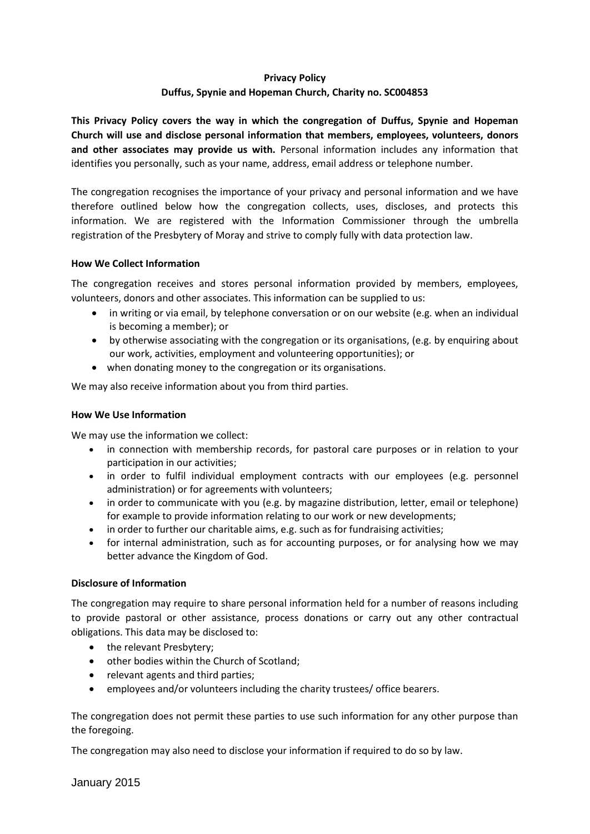# **Privacy Policy Duffus, Spynie and Hopeman Church, Charity no. SC004853**

**This Privacy Policy covers the way in which the congregation of Duffus, Spynie and Hopeman Church will use and disclose personal information that members, employees, volunteers, donors**  and other associates may provide us with. Personal information includes any information that identifies you personally, such as your name, address, email address or telephone number.

The congregation recognises the importance of your privacy and personal information and we have therefore outlined below how the congregation collects, uses, discloses, and protects this information. We are registered with the Information Commissioner through the umbrella registration of the Presbytery of Moray and strive to comply fully with data protection law.

# **How We Collect Information**

The congregation receives and stores personal information provided by members, employees, volunteers, donors and other associates. This information can be supplied to us:

- in writing or via email, by telephone conversation or on our website (e.g. when an individual is becoming a member); or
- by otherwise associating with the congregation or its organisations, (e.g. by enquiring about our work, activities, employment and volunteering opportunities); or
- when donating money to the congregation or its organisations.

We may also receive information about you from third parties.

# **How We Use Information**

We may use the information we collect:

- in connection with membership records, for pastoral care purposes or in relation to your participation in our activities;
- in order to fulfil individual employment contracts with our employees (e.g. personnel administration) or for agreements with volunteers;
- in order to communicate with you (e.g. by magazine distribution, letter, email or telephone) for example to provide information relating to our work or new developments;
- in order to further our charitable aims, e.g. such as for fundraising activities;
- for internal administration, such as for accounting purposes, or for analysing how we may better advance the Kingdom of God.

#### **Disclosure of Information**

The congregation may require to share personal information held for a number of reasons including to provide pastoral or other assistance, process donations or carry out any other contractual obligations. This data may be disclosed to:

- the relevant Presbytery;
- other bodies within the Church of Scotland;
- relevant agents and third parties;
- employees and/or volunteers including the charity trustees/ office bearers.

The congregation does not permit these parties to use such information for any other purpose than the foregoing.

The congregation may also need to disclose your information if required to do so by law.